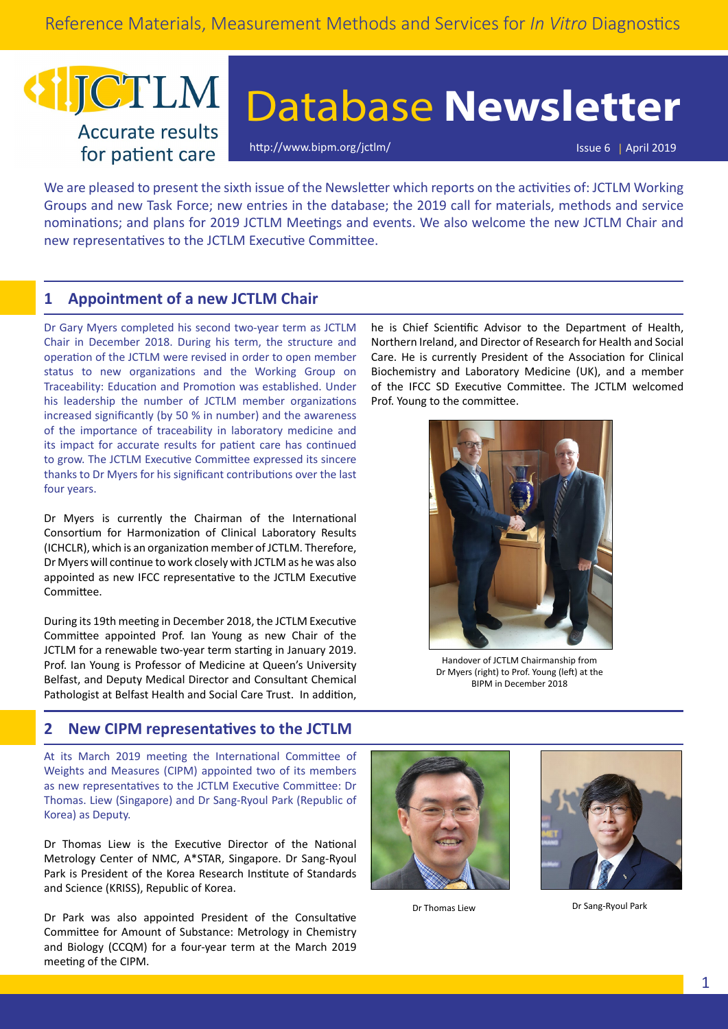## JCTLM **Accurate results** for patient care

# Database **Newsletter**

[http://www.bipm.org/jctlm/](https://www.bipm.org/jctlm/) Issue 6 | April 2019

We are pleased to present the sixth issue of the Newsletter which reports on the activities of: JCTLM Working Groups and new Task Force; new entries in the database; the 2019 call for materials, methods and service nominations; and plans for 2019 JCTLM Meetings and events. We also welcome the new JCTLM Chair and new representatives to the JCTLM Executive Committee.

## **1 Appointment of a new JCTLM Chair**

Dr Gary Myers completed his second two-year term as JCTLM Chair in December 2018. During his term, the structure and operation of the JCTLM were revised in order to open member status to new organizations and the Working Group on Traceability: Education and Promotion was established. Under his leadership the number of JCTLM member organizations increased significantly (by 50 % in number) and the awareness of the importance of traceability in laboratory medicine and its impact for accurate results for patient care has continued to grow. The JCTLM Executive Committee expressed its sincere thanks to Dr Myers for his significant contributions over the last four years.

Dr Myers is currently the Chairman of the International Consortium for Harmonization of Clinical Laboratory Results (ICHCLR), which is an organization member of JCTLM. Therefore, Dr Myers will continue to work closely with JCTLM as he was also appointed as new IFCC representative to the JCTLM Executive Committee.

During its 19th meeting in December 2018, the JCTLM Executive Committee appointed Prof. Ian Young as new Chair of the JCTLM for a renewable two-year term starting in January 2019. Prof. Ian Young is Professor of Medicine at Queen's University Belfast, and Deputy Medical Director and Consultant Chemical Pathologist at Belfast Health and Social Care Trust. In addition, he is Chief Scientific Advisor to the Department of Health, Northern Ireland, and Director of Research for Health and Social Care. He is currently President of the Association for Clinical Biochemistry and Laboratory Medicine (UK), and a member of the IFCC SD Executive Committee. The JCTLM welcomed Prof. Young to the committee.



Handover of JCTLM Chairmanship from Dr Myers (right) to Prof. Young (left) at the BIPM in December 2018

## **2 New CIPM representatives to the JCTLM**

At its March 2019 meeting the International Committee of Weights and Measures (CIPM) appointed two of its members as new representatives to the JCTLM Executive Committee: Dr Thomas. Liew (Singapore) and Dr Sang-Ryoul Park (Republic of Korea) as Deputy.

Dr Thomas Liew is the Executive Director of the National Metrology Center of NMC, A\*STAR, Singapore. Dr Sang-Ryoul Park is President of the Korea Research Institute of Standards and Science (KRISS), Republic of Korea.

Dr Park was also appointed President of the Consultative Committee for Amount of Substance: Metrology in Chemistry and Biology (CCQM) for a four-year term at the March 2019 meeting of the CIPM.





Dr Thomas Liew Dr Sang-Ryoul Park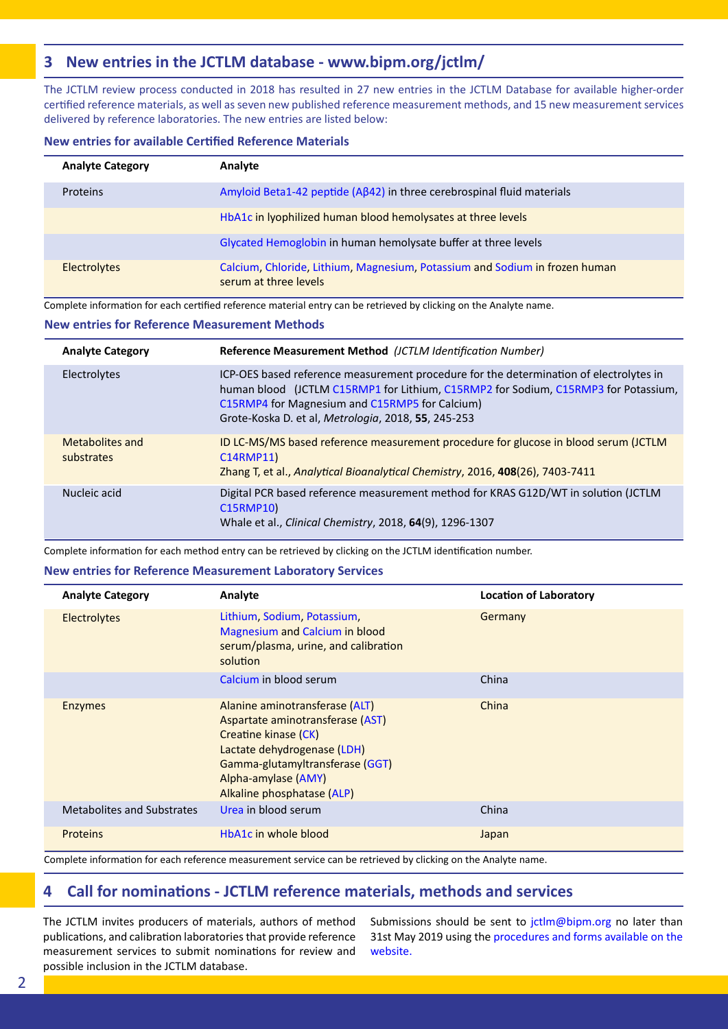## **3 New entries in the JCTLM database - [www.bipm.org/jctlm/](https://www.bipm.org/jctlm/)**

The JCTLM review process conducted in 2018 has resulted in 27 new entries in the JCTLM Database for available higher-order certified reference materials, as well as seven new published reference measurement methods, and 15 new measurement services delivered by reference laboratories. The new entries are listed below:

#### **New entries for available Certified Reference Materials**

| <b>Analyte Category</b> | Analyte                                                                                              |
|-------------------------|------------------------------------------------------------------------------------------------------|
| Proteins                | Amyloid Beta1-42 peptide ( $A\beta$ 42) in three cerebrospinal fluid materials                       |
|                         | HbA1c in Iyophilized human blood hemolysates at three levels                                         |
|                         | Glycated Hemoglobin in human hemolysate buffer at three levels                                       |
| Electrolytes            | Calcium, Chloride, Lithium, Magnesium, Potassium and Sodium in frozen human<br>serum at three levels |

Complete information for each certified reference material entry can be retrieved by clicking on the Analyte name.

#### **New entries for Reference Measurement Methods**

| <b>Analyte Category</b>       | Reference Measurement Method (JCTLM Identification Number)                                                                                                                                                                                                                            |
|-------------------------------|---------------------------------------------------------------------------------------------------------------------------------------------------------------------------------------------------------------------------------------------------------------------------------------|
| Electrolytes                  | ICP-OES based reference measurement procedure for the determination of electrolytes in<br>human blood (JCTLM C15RMP1 for Lithium, C15RMP2 for Sodium, C15RMP3 for Potassium,<br>C15RMP4 for Magnesium and C15RMP5 for Calcium)<br>Grote-Koska D. et al, Metrologia, 2018, 55, 245-253 |
| Metabolites and<br>substrates | ID LC-MS/MS based reference measurement procedure for glucose in blood serum (JCTLM<br>C14RMP11)<br>Zhang T, et al., Analytical Bioanalytical Chemistry, 2016, 408(26), 7403-7411                                                                                                     |
| Nucleic acid                  | Digital PCR based reference measurement method for KRAS G12D/WT in solution (JCTLM<br>C15RMP10)<br>Whale et al., Clinical Chemistry, 2018, 64(9), 1296-1307                                                                                                                           |

Complete information for each method entry can be retrieved by clicking on the JCTLM identification number.

#### **New entries for Reference Measurement Laboratory Services**

| <b>Analyte Category</b>    | Analyte                                                                                                                                                                                                           | <b>Location of Laboratory</b> |
|----------------------------|-------------------------------------------------------------------------------------------------------------------------------------------------------------------------------------------------------------------|-------------------------------|
| <b>Electrolytes</b>        | Lithium, Sodium, Potassium,<br><b>Magnesium and Calcium in blood</b><br>serum/plasma, urine, and calibration<br>solution                                                                                          | Germany                       |
|                            | Calcium in blood serum                                                                                                                                                                                            | China                         |
| <b>Enzymes</b>             | Alanine aminotransferase (ALT)<br>Aspartate aminotransferase (AST)<br>Creatine kinase (CK)<br>Lactate dehydrogenase (LDH)<br>Gamma-glutamyltransferase (GGT)<br>Alpha-amylase (AMY)<br>Alkaline phosphatase (ALP) | China                         |
| Metabolites and Substrates | Urea in blood serum                                                                                                                                                                                               | China                         |
| <b>Proteins</b>            | HbA1c in whole blood                                                                                                                                                                                              | Japan                         |

Complete information for each reference measurement service can be retrieved by clicking on the Analyte name.

## **4 Call for nominations - JCTLM reference materials, methods and services**

The JCTLM invites producers of materials, authors of method publications, and calibration laboratories that provide reference measurement services to submit nominations for review and possible inclusion in the JCTLM database.

Submissions should be sent to jctlm@bipm.org no later than 31st May 2019 using the [procedures and forms available on the](https://www.bipm.org/en/committees/jc/jctlm/jctlm-nominations-and-review.html)  [website.](https://www.bipm.org/en/committees/jc/jctlm/jctlm-nominations-and-review.html)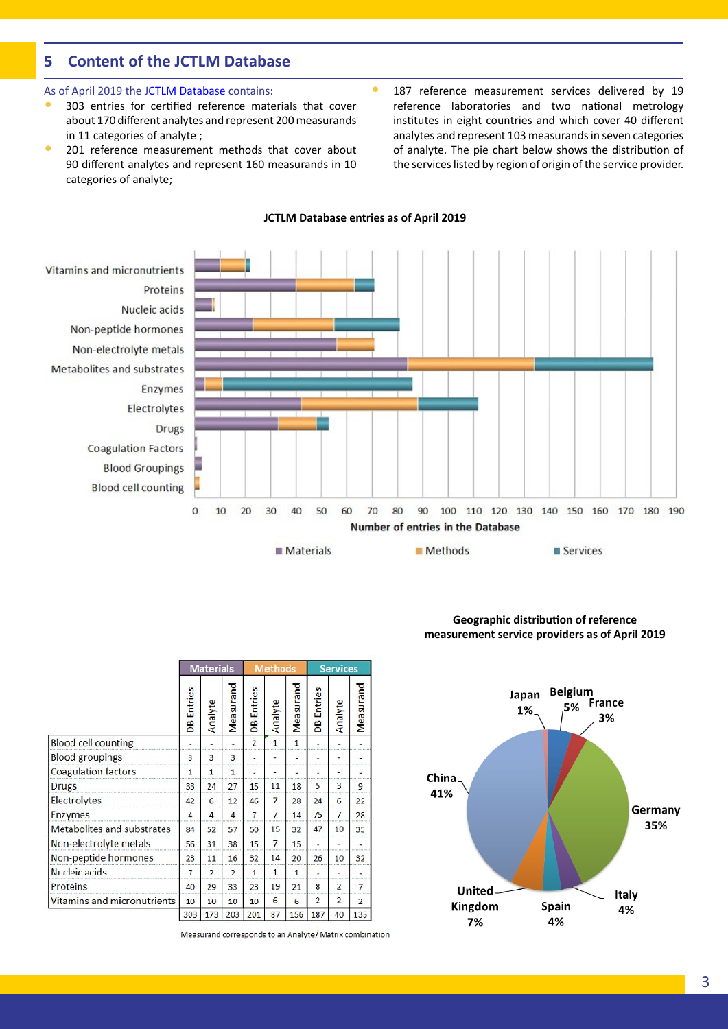## **5 Content of the JCTLM Database**

#### As of April 2019 the [JCTLM Database](https://www.bipm.org/jctlm/) contains:

- 303 entries for certified reference materials that cover about 170 different analytes and represent 200 measurands in 11 categories of analyte ;
- 201 reference measurement methods that cover about 90 different analytes and represent 160 measurands in 10 categories of analyte;
- 187 reference measurement services delivered by 19 reference laboratories and two national metrology institutes in eight countries and which cover 40 different analytes and represent 103 measurands in seven categories of analyte. The pie chart below shows the distribution of the services listed by region of origin of the service provider.

#### Vitamins and micronutrients Proteins Nucleic acids Non-peptide hormones Non-electrolyte metals Metabolites and substrates Enzymes Electrolytes **Drugs Coagulation Factors Blood Groupings Blood cell counting**  $\mathbf 0$  $10$ 30 40 50 60 70 80 90 100 110 120 130 140 150 160 170 180 190 20 Number of entries in the Database Materials Methods Services

**JCTLM Database entries as of April 2019**

|                             | Entries<br>8 | Analyte        | Measurand      | <b>Entries</b><br>B | Analyte        | Measurand | Entries<br>B   | Analyte        | Measurand      |
|-----------------------------|--------------|----------------|----------------|---------------------|----------------|-----------|----------------|----------------|----------------|
| <b>Blood cell counting</b>  |              |                |                | $\overline{2}$      | 1              | 1         |                |                |                |
| <b>Blood groupings</b>      | 3            | 3              | 3              |                     |                |           |                |                |                |
| <b>Coagulation factors</b>  | 1            | 1              | 1              |                     |                |           |                |                |                |
| <b>Drugs</b>                | 33           | 24             | 27             | 15                  | 11             | 18        | 5              | з              | 9              |
| Electrolytes                | 42           | 6              | 12             | 46                  | 7              | 28        | 24             | 6              | 22             |
| <b>Enzymes</b>              | 4            | 4              | 4              | 7                   | 7              | 14        | 75             | 7              | 28             |
| Metabolites and substrates  | 84           | 52             | 57             | 50                  | 15             | 32        | 47             | 10             | 35             |
| Non-electrolyte metals      | 56           | 31             | 38             | 15                  | $\overline{7}$ | 15        |                |                |                |
| Non-peptide hormones        | 23           | 11             | 16             | 32                  | 14             | 20        | 26             | 10             | 32             |
| Nucleic acids               | 7            | $\overline{2}$ | $\overline{a}$ | 1                   | 1              | 1         |                |                |                |
| Proteins                    | 40           | 29             | 33             | 23                  | 19             | 21        | 8              | $\overline{2}$ | $\overline{7}$ |
| Vitamins and micronutrients | 10           | 10             | 10             | 10                  | 6              | 6         | $\overline{2}$ | $\overline{2}$ | 2              |
|                             | 303          | 173            | 203            | 201                 | 87             | 156       | 187            | 40             | 135            |

Measurand corresponds to an Analyte/ Matrix combination

Materials Methods Services

#### **Geographic distribution of reference measurement service providers as of April 2019**

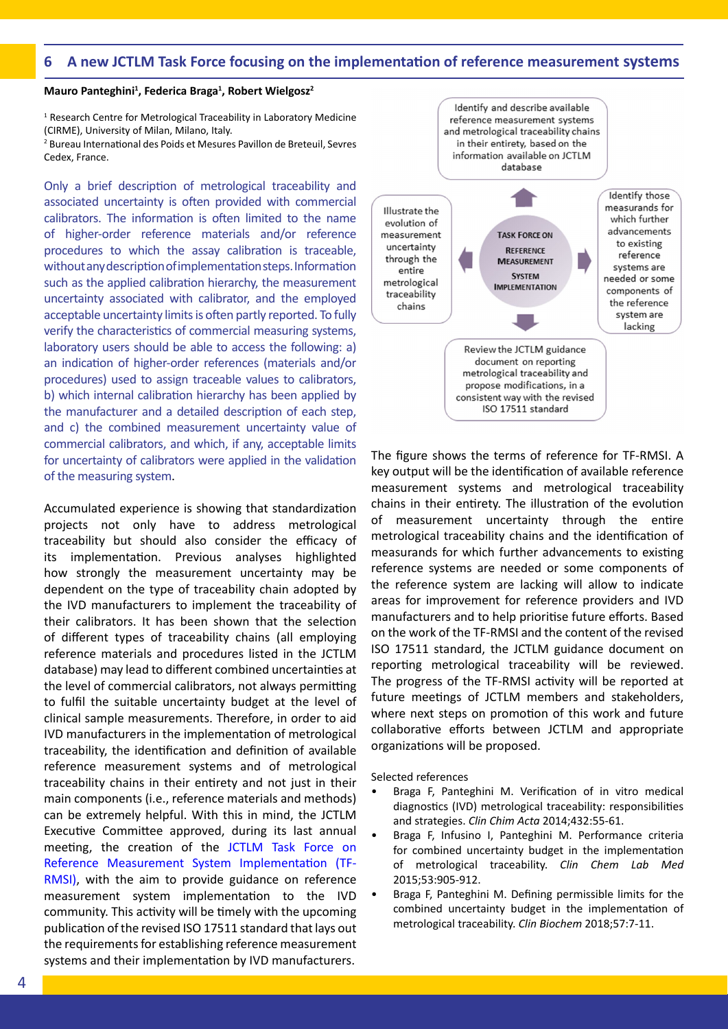#### **6 A new JCTLM Task Force focusing on the implementation of reference measurement systems**

#### **Mauro Panteghini1 , Federica Braga<sup>1</sup> , Robert Wielgosz<sup>2</sup>**

<sup>1</sup> Research Centre for Metrological Traceability in Laboratory Medicine (CIRME), University of Milan, Milano, Italy.

2 Bureau International des Poids et Mesures Pavillon de Breteuil, Sevres Cedex, France.

Only a brief description of metrological traceability and associated uncertainty is often provided with commercial calibrators. The information is often limited to the name of higher-order reference materials and/or reference procedures to which the assay calibration is traceable, without any description of implementation steps. Information such as the applied calibration hierarchy, the measurement uncertainty associated with calibrator, and the employed acceptable uncertainty limits is often partly reported. To fully verify the characteristics of commercial measuring systems, laboratory users should be able to access the following: a) an indication of higher-order references (materials and/or procedures) used to assign traceable values to calibrators, b) which internal calibration hierarchy has been applied by the manufacturer and a detailed description of each step, and c) the combined measurement uncertainty value of commercial calibrators, and which, if any, acceptable limits for uncertainty of calibrators were applied in the validation of the measuring system.

Accumulated experience is showing that standardization projects not only have to address metrological traceability but should also consider the efficacy of its implementation. Previous analyses highlighted how strongly the measurement uncertainty may be dependent on the type of traceability chain adopted by the IVD manufacturers to implement the traceability of their calibrators. It has been shown that the selection of different types of traceability chains (all employing reference materials and procedures listed in the JCTLM database) may lead to different combined uncertainties at the level of commercial calibrators, not always permitting to fulfil the suitable uncertainty budget at the level of clinical sample measurements. Therefore, in order to aid IVD manufacturers in the implementation of metrological traceability, the identification and definition of available reference measurement systems and of metrological traceability chains in their entirety and not just in their main components (i.e., reference materials and methods) can be extremely helpful. With this in mind, the JCTLM Executive Committee approved, during its last annual meeting, the creation of the [JCTLM Task Force on](https://www.bipm.org/en/committees/cc/wg/jctlm-tf-rmsi.html)  [Reference Measurement System Implementation \(TF-](https://www.bipm.org/en/committees/cc/wg/jctlm-tf-rmsi.html)[RMSI\),](https://www.bipm.org/en/committees/cc/wg/jctlm-tf-rmsi.html) with the aim to provide guidance on reference measurement system implementation to the IVD community. This activity will be timely with the upcoming publication of the revised ISO 17511 standard that lays out the requirements for establishing reference measurement systems and their implementation by IVD manufacturers.



The figure shows the terms of reference for TF-RMSI. A key output will be the identification of available reference measurement systems and metrological traceability chains in their entirety. The illustration of the evolution of measurement uncertainty through the entire metrological traceability chains and the identification of measurands for which further advancements to existing reference systems are needed or some components of the reference system are lacking will allow to indicate areas for improvement for reference providers and IVD manufacturers and to help prioritise future efforts. Based on the work of the TF-RMSI and the content of the revised ISO 17511 standard, the JCTLM guidance document on reporting metrological traceability will be reviewed. The progress of the TF-RMSI activity will be reported at future meetings of JCTLM members and stakeholders, where next steps on promotion of this work and future collaborative efforts between JCTLM and appropriate organizations will be proposed.

Selected references

- Braga F, Panteghini M. Verification of in vitro medical diagnostics (IVD) metrological traceability: responsibilities and strategies. *Clin Chim Acta* 2014;432:55-61.
- Braga F, Infusino I, Panteghini M. Performance criteria for combined uncertainty budget in the implementation of metrological traceability. *Clin Chem Lab Med* 2015;53:905‑912.
- Braga F, Panteghini M. Defining permissible limits for the combined uncertainty budget in the implementation of metrological traceability. *Clin Biochem* 2018;57:7-11.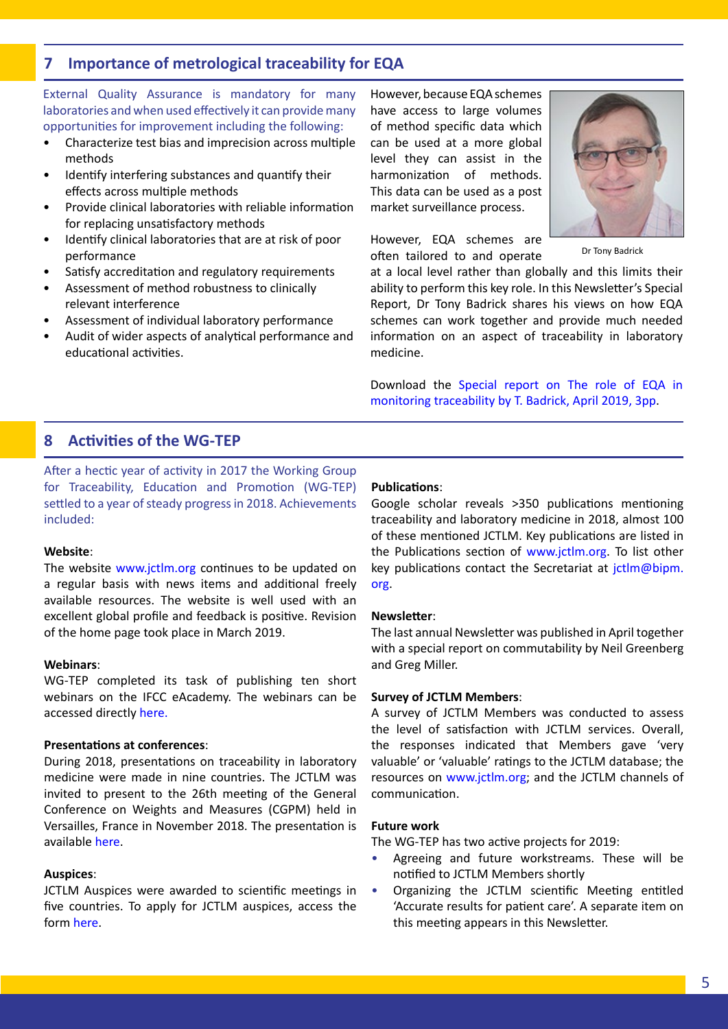## **7 Importance of metrological traceability for EQA**

External Quality Assurance is mandatory for many laboratories and when used effectively it can provide many opportunities for improvement including the following:

- Characterize test bias and imprecision across multiple methods
- Identify interfering substances and quantify their effects across multiple methods
- Provide clinical laboratories with reliable information for replacing unsatisfactory methods
- Identify clinical laboratories that are at risk of poor performance
- Satisfy accreditation and regulatory requirements
- Assessment of method robustness to clinically relevant interference
- Assessment of individual laboratory performance
- Audit of wider aspects of analytical performance and educational activities.

However, because EQA schemes have access to large volumes of method specific data which can be used at a more global level they can assist in the harmonization of methods. This data can be used as a post market surveillance process.

However, EQA schemes are often tailored to and operate



Dr Tony Badrick

at a local level rather than globally and this limits their ability to perform this key role. In this Newsletter's Special Report, Dr Tony Badrick shares his views on how EQA schemes can work together and provide much needed information on an aspect of traceability in laboratory medicine.

Download the [Special report on The role of EQA in](https://www.bipm.org/utils/common/pdf/JCTLM/JCTLM_Newsletter_2019_Special_Report.pdf)  [monitoring traceability by T. Badrick, April 2019, 3pp.](https://www.bipm.org/utils/common/pdf/JCTLM/JCTLM_Newsletter_2019_Special_Report.pdf)

## **8 Activities of the WG-TEP**

After a hectic year of activity in 2017 the Working Group for Traceability, Education and Promotion (WG-TEP) settled to a year of steady progress in 2018. Achievements included:

#### **Website**:

The website [www.jctlm.org](http://www.jctlm.org) continues to be updated on a regular basis with news items and additional freely available resources. The website is well used with an excellent global profile and feedback is positive. Revision of the home page took place in March 2019.

#### **Webinars**:

WG-TEP completed its task of publishing ten short webinars on the IFCC eAcademy. The webinars can be accessed directly [here.](http://eacademy.ifcc.org/topics/other-areas-of-laboratory-medicine/traceability-in-laboratory-medicine/)

#### **Presentations at conferences**:

During 2018, presentations on traceability in laboratory medicine were made in nine countries. The JCTLM was invited to present to the 26th meeting of the General Conference on Weights and Measures (CGPM) held in Versailles, France in November 2018. The presentation is available [here](http://www.jctlm.org/meetings/).

#### **Auspices**:

JCTLM Auspices were awarded to scientific meetings in five countries. To apply for JCTLM auspices, access the form [here](http://www.jctlm.org/media/1021/7_jctlm-auspices-guidelines_feb-2016.pdf).

#### **Publications**:

Google scholar reveals >350 publications mentioning traceability and laboratory medicine in 2018, almost 100 of these mentioned JCTLM. Key publications are listed in the Publications section of [www.jctlm.org](http://www.jctlm.org/). To list other key publications contact the Secretariat at jctlm@bipm. org.

#### **Newsletter**:

The last annual Newsletter was published in April together with a special report on commutability by Neil Greenberg and Greg Miller.

#### **Survey of JCTLM Members**:

A survey of JCTLM Members was conducted to assess the level of satisfaction with JCTLM services. Overall, the responses indicated that Members gave 'very valuable' or 'valuable' ratings to the JCTLM database; the resources on [www.jctlm.org](http://www.jctlm.org/); and the JCTLM channels of communication.

#### **Future work**

The WG-TEP has two active projects for 2019:

- Agreeing and future workstreams. These will be notified to JCTLM Members shortly
- Organizing the JCTLM scientific Meeting entitled 'Accurate results for patient care'. A separate item on this meeting appears in this Newsletter.